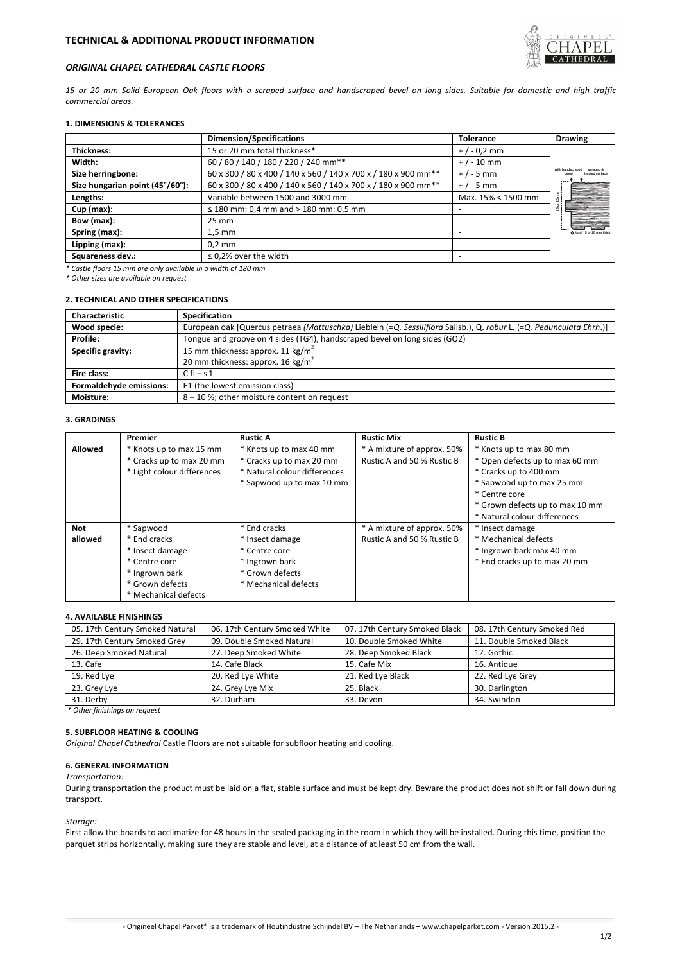

## *ORIGINAL CHAPEL CATHEDRAL CASTLE FLOORS*

15 or 20 mm Solid European Oak floors with a scraped surface and handscraped bevel on long sides. Suitable for domestic and high traffic *commercial areas.*

## **1. DIMENSIONS & TOLERANCES**

|                                 | <b>Dimension/Specifications</b>                                            | <b>Tolerance</b>   | <b>Drawing</b>            |  |
|---------------------------------|----------------------------------------------------------------------------|--------------------|---------------------------|--|
| <b>Thickness:</b>               | 15 or 20 mm total thickness*                                               | $+/-0.2$ mm        |                           |  |
| Width:                          | 60 / 80 / 140 / 180 / 220 / 240 mm**<br>$+$ / - 10 mm                      |                    |                           |  |
| Size herringbone:               | 60 x 300 / 80 x 400 / 140 x 560 / 140 x 700 x / 180 x 900 mm <sup>**</sup> | $+/-5$ mm          |                           |  |
| Size hungarian point (45°/60°): | 60 x 300 / 80 x 400 / 140 x 560 / 140 x 700 x / 180 x 900 mm <sup>**</sup> | $+/-5$ mm          |                           |  |
| Lengths:                        | Variable between 1500 and 3000 mm                                          | Max. 15% < 1500 mm |                           |  |
| $Cup$ (max):                    | $\leq$ 180 mm: 0,4 mm and > 180 mm: 0,5 mm                                 |                    |                           |  |
| Bow (max):                      | $25 \text{ mm}$                                                            |                    |                           |  |
| Spring (max):                   | $1.5 \text{ mm}$                                                           |                    | O total 15 or 20 mm thick |  |
| Lipping (max):                  | $0.2$ mm                                                                   |                    |                           |  |
| Squareness dev.:                | $\leq$ 0.2% over the width                                                 |                    |                           |  |

*\* Castle floors 15 mm are only available in a width of 180 mm* 

*\* Other sizes are available on request*

# **2. TECHNICAL AND OTHER SPECIFICATIONS**

| <b>Characteristic</b>   | Specification                                                                                                        |  |  |
|-------------------------|----------------------------------------------------------------------------------------------------------------------|--|--|
| Wood specie:            | European oak [Quercus petraea (Mattuschka) Lieblein (=Q. Sessiliflora Salisb.), Q. robur L. (=Q. Pedunculata Ehrh.)] |  |  |
| Profile:                | Tongue and groove on 4 sides (TG4), handscraped bevel on long sides (GO2)                                            |  |  |
| Specific gravity:       | 15 mm thickness: approx. 11 kg/m <sup>2</sup>                                                                        |  |  |
|                         | 20 mm thickness: approx. 16 kg/m <sup>2</sup>                                                                        |  |  |
| Fire class:             | $C \, \text{fl} - s \, 1$                                                                                            |  |  |
| Formaldehyde emissions: | E1 (the lowest emission class)                                                                                       |  |  |
| Moisture:               | 8-10%; other moisture content on request                                                                             |  |  |

## **3. GRADINGS**

|         | Premier                    | <b>Rustic A</b>              | <b>Rustic Mix</b>          | <b>Rustic B</b>                 |
|---------|----------------------------|------------------------------|----------------------------|---------------------------------|
| Allowed | * Knots up to max 15 mm    | * Knots up to max 40 mm      | * A mixture of approx. 50% | * Knots up to max 80 mm         |
|         | * Cracks up to max 20 mm   | * Cracks up to max 20 mm     | Rustic A and 50 % Rustic B | * Open defects up to max 60 mm  |
|         | * Light colour differences | * Natural colour differences |                            | * Cracks up to 400 mm           |
|         |                            | * Sapwood up to max 10 mm    |                            | * Sapwood up to max 25 mm       |
|         |                            |                              |                            | * Centre core                   |
|         |                            |                              |                            | * Grown defects up to max 10 mm |
|         |                            |                              |                            | * Natural colour differences    |
| Not     | * Sapwood                  | * End cracks                 | * A mixture of approx. 50% | * Insect damage                 |
| allowed | * End cracks               | * Insect damage              | Rustic A and 50 % Rustic B | * Mechanical defects            |
|         | * Insect damage            | * Centre core                |                            | * Ingrown bark max 40 mm        |
|         | * Centre core              | * Ingrown bark               |                            | * End cracks up to max 20 mm    |
|         | * Ingrown bark             | * Grown defects              |                            |                                 |
|         | * Grown defects            | * Mechanical defects         |                            |                                 |
|         | * Mechanical defects       |                              |                            |                                 |

#### **4. AVAILABLE FINISHINGS**

| 05. 17th Century Smoked Natural | 06. 17th Century Smoked White | 07. 17th Century Smoked Black | 08. 17th Century Smoked Red |
|---------------------------------|-------------------------------|-------------------------------|-----------------------------|
| 29. 17th Century Smoked Grey    | 09. Double Smoked Natural     | 10. Double Smoked White       | 11. Double Smoked Black     |
| 26. Deep Smoked Natural         | 27. Deep Smoked White         | 28. Deep Smoked Black         | 12. Gothic                  |
| 13. Cafe                        | 14. Cafe Black                | 15. Cafe Mix                  | 16. Antique                 |
| 19. Red Lye                     | 20. Red Lye White             | 21. Red Lye Black             | 22. Red Lye Grey            |
| 23. Grey Lye                    | 24. Grey Lye Mix              | 25. Black                     | 30. Darlington              |
| 31. Derby                       | 32. Durham                    | 33. Devon                     | 34. Swindon                 |

*\* Other finishings on request*

### **5. SUBFLOOR HEATING & COOLING**

*Original Chapel Cathedral Castle Floors* are not suitable for subfloor heating and cooling.

#### **6. GENERAL INFORMATION**

*Transportation:*

During transportation the product must be laid on a flat, stable surface and must be kept dry. Beware the product does not shift or fall down during transport.

#### *Storage:*

First allow the boards to acclimatize for 48 hours in the sealed packaging in the room in which they will be installed. During this time, position the parquet strips horizontally, making sure they are stable and level, at a distance of at least 50 cm from the wall.